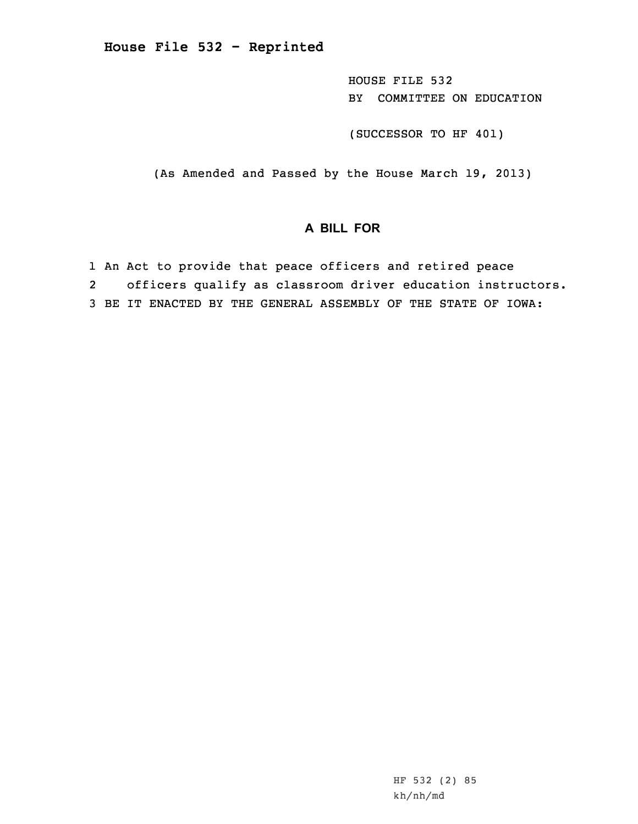**House File 532 - Reprinted**

HOUSE FILE 532 BY COMMITTEE ON EDUCATION

(SUCCESSOR TO HF 401)

(As Amended and Passed by the House March 19, 2013)

## **A BILL FOR**

1 An Act to provide that peace officers and retired peace 2 officers qualify as classroom driver education instructors. 3 BE IT ENACTED BY THE GENERAL ASSEMBLY OF THE STATE OF IOWA:

> HF 532 (2) 85 kh/nh/md